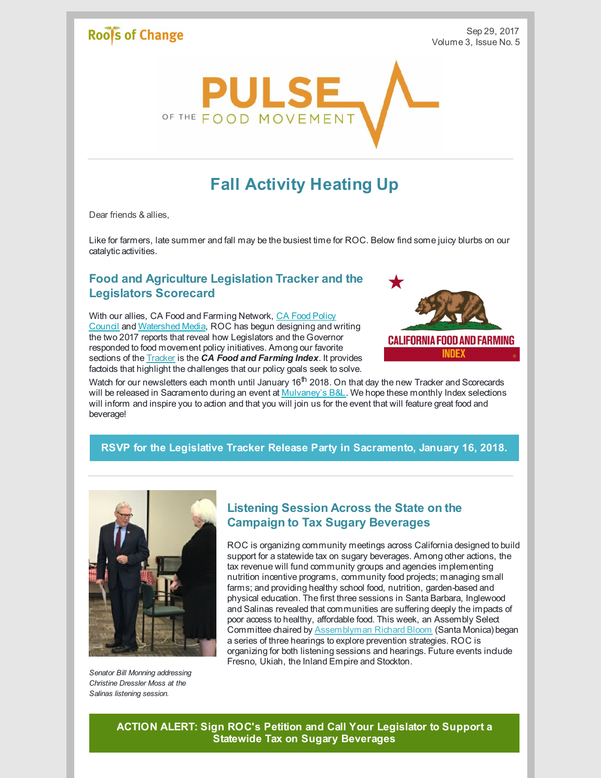## **Roofs of Change**



# **Fall Activity Heating Up**

Dear friends & allies,

Like for farmers, late summer and fall may be the busiest time for ROC. Below find some juicy blurbs on our catalytic activities.

#### **Food and Agriculture Legislation Tracker and the Legislators Scorecard**

With our allies, CA Food and Farming Network, CA Food Policy Council and [Watershed](https://www.facebook.com/CalFPC/) Media, ROC has begun designing and writing the two 2017 reports that reveal how Legislators and the Governor responded to food movement policy initiatives. Among our favorite sections of the [Tracker](http://www.rootsofchange.org/wp-content/uploads/CAFPC-ANNUAL-REPORT-2016-ok-1.pdf) is the *CA Food and Farming Index*. It provides factoids that highlight the challenges that our policy goals seek to solve.



Watch for our newsletters each month until January 16<sup>th</sup> 2018. On that day the new Tracker and Scorecards will be released in Sacramento during an event at [Mulvaney's](https://www.eventbrite.com/e/2017-legislative-tracker-release-party-tickets-38416857856) B&L. We hope these monthly Index selections will inform and inspire you to action and that you will join us for the event that will feature great food and beverage!

#### **RSVP for the Legislative Tracker Release Party in [Sacramento,](https://www.eventbrite.com/e/2017-legislative-tracker-release-party-tickets-38416857856) January 16, 2018.**



*Senator Bill Monning addressing Christine Dressler Moss at the Salinas listening session.*

#### **Listening Session Across the State on the Campaign to Tax Sugary Beverages**

ROC is organizing community meetings across California designed to build support for a statewide tax on sugary beverages. Among other actions, the tax revenue will fund community groups and agencies implementing nutrition incentive programs, community food projects; managing small farms; and providing healthy school food, nutrition, garden-based and physical education. The first three sessions in Santa Barbara, Inglewood and Salinas revealed that communities are suffering deeply the impacts of poor access to healthy, affordable food. This week, an Assembly Select Committee chaired by [Assemblyman](https://a50.asmdc.org/) Richard Bloom (Santa Monica) began a series of three hearings to explore prevention strategies. ROC is organizing for both listening sessions and hearings. Future events include Fresno, Ukiah, the Inland Empire and Stockton.

**ACTION ALERT: Sign ROC's Petition and Call Your [Legislator](http://www.rootsofchange.org/get-involved/take-action/) to Support a Statewide Tax on Sugary Beverages**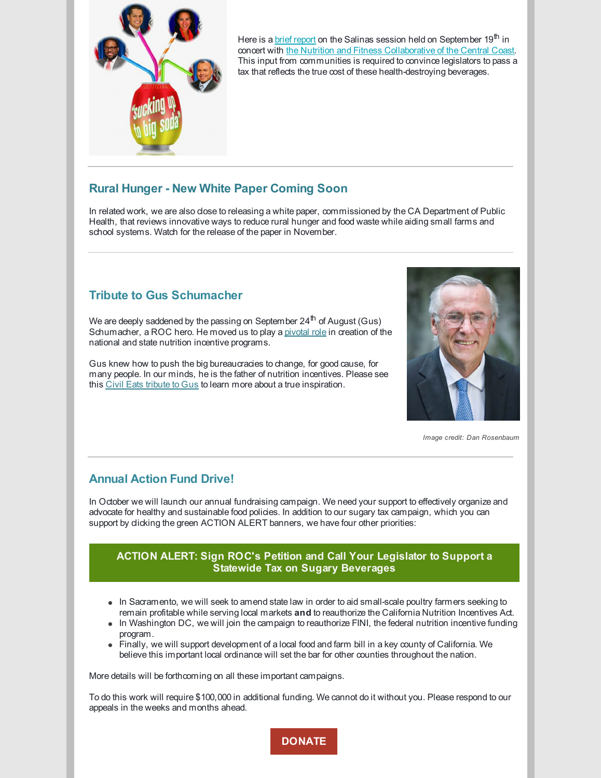

Here is a <u>brief [report](https://www.facebook.com/rootsofchange/posts/10154775016810877)</u> on the Salinas session held on September 19<sup>th</sup> in concert with the Nutrition and Fitness [Collaborative](http://www.co.monterey.ca.us/government/departments-a-h/health/public-health/nutrition-education-and-obesity-prevention-neop/nutrition-fitness-collaborative-of-the-central-coast) of the Central Coast. This input from communities is required to convince legislators to pass a tax that reflects the true cost of these health-destroying beverages.

#### **Rural Hunger - New White Paper Coming Soon**

In related work, we are also dose to releasing a white paper, commissioned by the CA Department of Public Health, that reviews innovative ways to reduce rural hunger and food waste while aiding small farms and school systems. Watch for the release of the paper in November.

### **Tribute to Gus Schumacher**

We are deeply saddened by the passing on September 24<sup>th</sup> of August (Gus) Schumacher, a ROC hero. He moved us to play a [pivotal](https://www.facebook.com/rootsofchange/posts/10154777422580877) [role](https://www.facebook.com/rootsofchange/posts/10154777422580877) in creation of the national and state nutrition incentive programs.

Gus knew how to push the big bureaucracies to change, for good cause, for many people. In our minds, he is the father of nutrition incentives. Please see this Civil Eats [tribute](https://civileats.com/2017/09/29/remembering-the-legacy-of-gus-schumacher/) to [Gus](https://civileats.com/2017/09/29/remembering-the-legacy-of-gus-schumacher/) to learn more about a true inspiration.



*Image credit: Dan Rosenbaum*

#### **Annual Action Fund Drive!**

In October we will launch our annual fundraising campaign. We need your support to effectively organize and advocate for healthy and sustainable food policies. In addition to our sugary tax campaign, which you can support by dicking the green ACTION ALERT banners, we have four other priorities:

#### **ACTION ALERT: Sign ROC's Petition and Call Your Legislator to Support a Statewide Tax on Sugary [Beverages](http://www.rootsofchange.org/get-involved/take-action/)**

- In Sacramento, we will seek to amend state law in order to aid small-scale poultry farmers seeking to remain profitable while serving local markets **and** to reauthorize the California Nutrition Incentives Act.
- In Washington DC, we will join the campaign to reauthorize FINI, the federal nutrition incentive funding program.
- Finally, we will support development of a local food and farm bill in a key county of California. We believe this important local ordinance will set the bar for other counties throughout the nation.

More details will be forthcoming on all these important campaigns.

To do this work will require \$100,000 in additional funding. We cannot do it without you. Please respond to our appeals in the weeks and months ahead.

**[DONATE](http://www.rootsofchange.org/get-involved/donate/)**